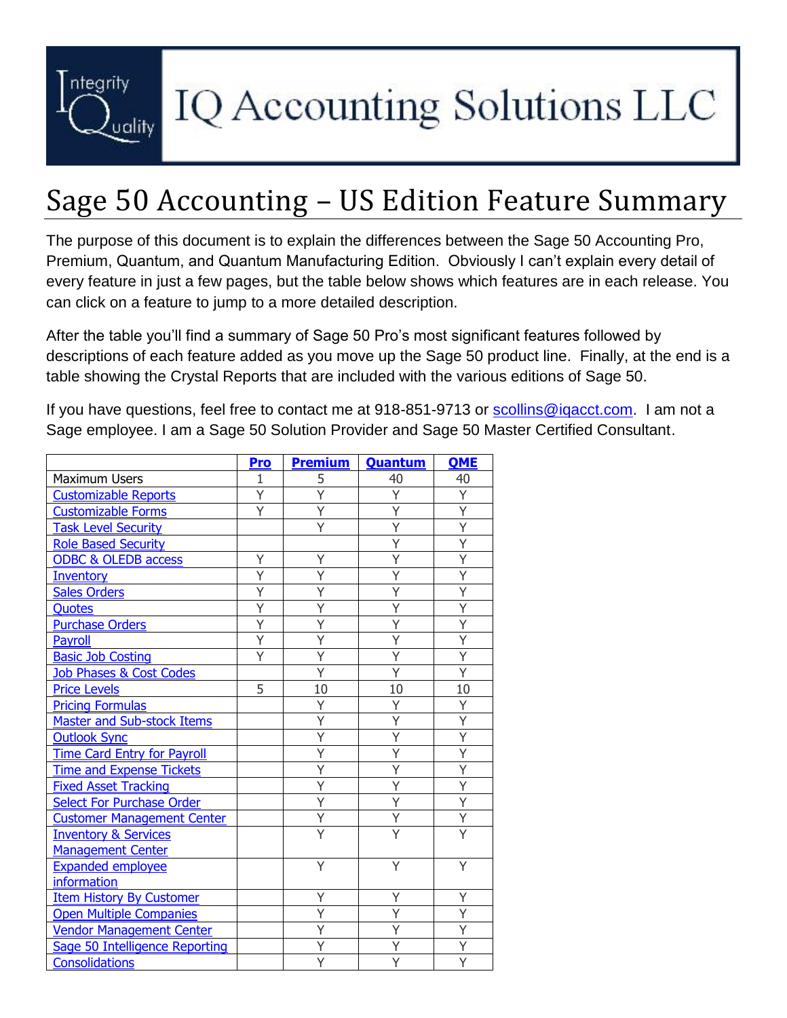

# IQ Accounting Solutions LLC

### Sage 50 Accounting – US Edition Feature Summary

The purpose of this document is to explain the differences between the Sage 50 Accounting Pro, Premium, Quantum, and Quantum Manufacturing Edition. Obviously I can't explain every detail of every feature in just a few pages, but the table below shows which features are in each release. You can click on a feature to jump to a more detailed description.

After the table you'll find a summary of Sage 50 Pro's most significant features followed by descriptions of each feature added as you move up the Sage 50 product line. Finally, at the end is a table showing the Crystal Reports that are included with the various editions of Sage 50.

If you have questions, feel free to contact me at 918-851-9713 or scollins@igacct.com. I am not a Sage employee. I am a Sage 50 Solution Provider and Sage 50 Master Certified Consultant.

|                                    | Pro | <b>Premium</b> | Quantum | <b>OME</b> |
|------------------------------------|-----|----------------|---------|------------|
| <b>Maximum Users</b>               | 1   | 5              | 40      | 40         |
| <b>Customizable Reports</b>        | Y   | Ý              | Y       | Y          |
| <b>Customizable Forms</b>          | Y   | Y              | Ÿ       | Y          |
| <b>Task Level Security</b>         |     | Ÿ              | Y       | Y          |
| <b>Role Based Security</b>         |     |                | Y       | Ÿ          |
| <b>ODBC &amp; OLEDB access</b>     | Y   | Y              | Y       | Ÿ          |
| <b>Inventory</b>                   | Υ   | Υ              | Y       | Y          |
| <b>Sales Orders</b>                | Ý   | Ý              | Y       | Y          |
| Quotes                             | Ÿ   | Ÿ              | Υ       | Ÿ          |
| <b>Purchase Orders</b>             | Ý   | Y              | Υ       | Υ          |
| Payroll                            | Y   | Ý              | Υ       | Ý          |
| <b>Basic Job Costing</b>           | Ÿ   | Ÿ              | Ý       | Ÿ          |
| <b>Job Phases &amp; Cost Codes</b> |     | Ÿ              | Ý       | Ÿ          |
| <b>Price Levels</b>                | 5   | 10             | 10      | 10         |
| <b>Pricing Formulas</b>            |     | Y              | Υ       | Υ          |
| <b>Master and Sub-stock Items</b>  |     | Y              | Y       | Y          |
| <b>Outlook Sync</b>                |     | Ÿ              | Ý       | Ý          |
| <b>Time Card Entry for Payroll</b> |     | Y              | Y       | Y          |
| <b>Time and Expense Tickets</b>    |     | Ý              | Y       | Ÿ          |
| <b>Fixed Asset Tracking</b>        |     | Ý              | Ý       | Ý          |
| <b>Select For Purchase Order</b>   |     | Y              | Υ       | Y          |
| <b>Customer Management Center</b>  |     | Y              | Υ       | Y          |
| <b>Inventory &amp; Services</b>    |     | Ý              | Υ       | Ý          |
| <b>Management Center</b>           |     |                |         |            |
| <b>Expanded employee</b>           |     | Υ              | Υ       | Υ          |
| information                        |     |                |         |            |
| <b>Item History By Customer</b>    |     | Ý              | Υ       | Ý          |
| <b>Open Multiple Companies</b>     |     | Y              | Ý       | Y          |
| <b>Vendor Management Center</b>    |     | Y              | Y       | Y          |
| Sage 50 Intelligence Reporting     |     | Ÿ              | Y       | Ÿ          |
| Consolidations                     |     | Y              |         | Ý          |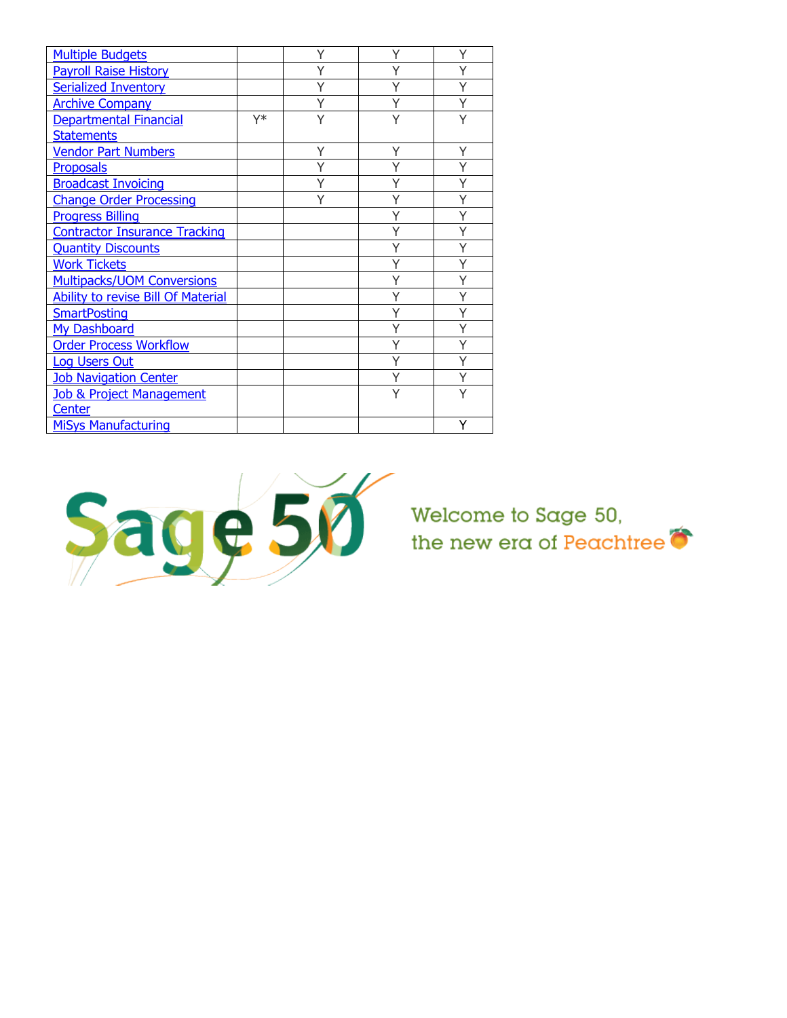| <b>Multiple Budgets</b>                   |    | Υ | Y | Υ |
|-------------------------------------------|----|---|---|---|
| <b>Payroll Raise History</b>              |    | Υ | Υ | Y |
| <b>Serialized Inventory</b>               |    | Y | Υ | Ý |
| <b>Archive Company</b>                    |    | Ý | Y | Ý |
| <b>Departmental Financial</b>             | Y* | Y | Υ | Ý |
| <b>Statements</b>                         |    |   |   |   |
| <b>Vendor Part Numbers</b>                |    | Υ | Υ | Υ |
| Proposals                                 |    |   |   |   |
| <b>Broadcast Invoicing</b>                |    | Υ | Υ | Υ |
| <b>Change Order Processing</b>            |    |   | Υ | Υ |
| <b>Progress Billing</b>                   |    |   | Y | Ý |
| <b>Contractor Insurance Tracking</b>      |    |   | Y | Ý |
| <b>Quantity Discounts</b>                 |    |   | Υ | Ý |
| <b>Work Tickets</b>                       |    |   |   | Ý |
| <b>Multipacks/UOM Conversions</b>         |    |   |   | Y |
| <b>Ability to revise Bill Of Material</b> |    |   |   |   |
| <b>SmartPosting</b>                       |    |   |   |   |
| <b>My Dashboard</b>                       |    |   | Υ | Υ |
| <b>Order Process Workflow</b>             |    |   | Υ | Y |
| <b>Log Users Out</b>                      |    |   | Υ | Ý |
| <b>Job Navigation Center</b>              |    |   | Υ | Ý |
| <b>Job &amp; Project Management</b>       |    |   | Υ | Ý |
| Center                                    |    |   |   |   |
| <b>MiSys Manufacturing</b>                |    |   |   | Y |

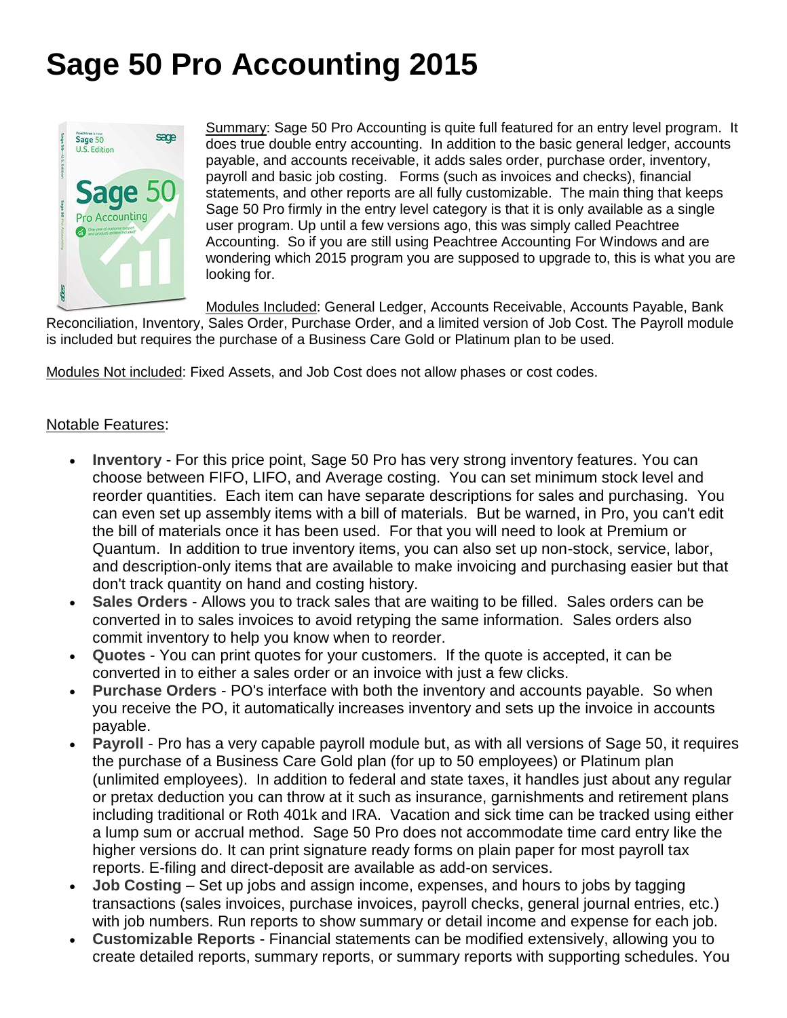### <span id="page-2-0"></span>**Sage 50 Pro Accounting 2015**



Summary: Sage 50 Pro Accounting is quite full featured for an entry level program. It does true double entry accounting. In addition to the basic general ledger, accounts payable, and accounts receivable, it adds sales order, purchase order, inventory, payroll and basic job costing. Forms (such as invoices and checks), financial statements, and other reports are all fully customizable. The main thing that keeps Sage 50 Pro firmly in the entry level category is that it is only available as a single user program. Up until a few versions ago, this was simply called Peachtree Accounting. So if you are still using Peachtree Accounting For Windows and are wondering which 2015 program you are supposed to upgrade to, this is what you are looking for.

Modules Included: General Ledger, Accounts Receivable, Accounts Payable, Bank

Reconciliation, Inventory, Sales Order, Purchase Order, and a limited version of Job Cost. The Payroll module is included but requires the purchase of a Business Care Gold or Platinum plan to be used.

Modules Not included: Fixed Assets, and Job Cost does not allow phases or cost codes.

#### <span id="page-2-2"></span>Notable Features:

- **Inventory** For this price point, Sage 50 Pro has very strong inventory features. You can choose between FIFO, LIFO, and Average costing. You can set minimum stock level and reorder quantities. Each item can have separate descriptions for sales and purchasing. You can even set up assembly items with a bill of materials. But be warned, in Pro, you can't edit the bill of materials once it has been used. For that you will need to look at Premium or Quantum. In addition to true inventory items, you can also set up non-stock, service, labor, and description-only items that are available to make invoicing and purchasing easier but that don't track quantity on hand and costing history.
- <span id="page-2-3"></span> **Sales Orders** - Allows you to track sales that are waiting to be filled. Sales orders can be converted in to sales invoices to avoid retyping the same information. Sales orders also commit inventory to help you know when to reorder.
- <span id="page-2-4"></span> **Quotes** - You can print quotes for your customers. If the quote is accepted, it can be converted in to either a sales order or an invoice with just a few clicks.
- <span id="page-2-5"></span> **Purchase Orders** - PO's interface with both the inventory and accounts payable. So when you receive the PO, it automatically increases inventory and sets up the invoice in accounts payable.
- <span id="page-2-6"></span> **Payroll** - Pro has a very capable payroll module but, as with all versions of Sage 50, it requires the purchase of a Business Care Gold plan (for up to 50 employees) or Platinum plan (unlimited employees). In addition to federal and state taxes, it handles just about any regular or pretax deduction you can throw at it such as insurance, garnishments and retirement plans including traditional or Roth 401k and IRA. Vacation and sick time can be tracked using either a lump sum or accrual method. Sage 50 Pro does not accommodate time card entry like the higher versions do. It can print signature ready forms on plain paper for most payroll tax reports. E-filing and direct-deposit are available as add-on services.
- <span id="page-2-7"></span> **Job Costing** – Set up jobs and assign income, expenses, and hours to jobs by tagging transactions (sales invoices, purchase invoices, payroll checks, general journal entries, etc.) with job numbers. Run reports to show summary or detail income and expense for each job.
- <span id="page-2-1"></span> **Customizable Reports** - Financial statements can be modified extensively, allowing you to create detailed reports, summary reports, or summary reports with supporting schedules. You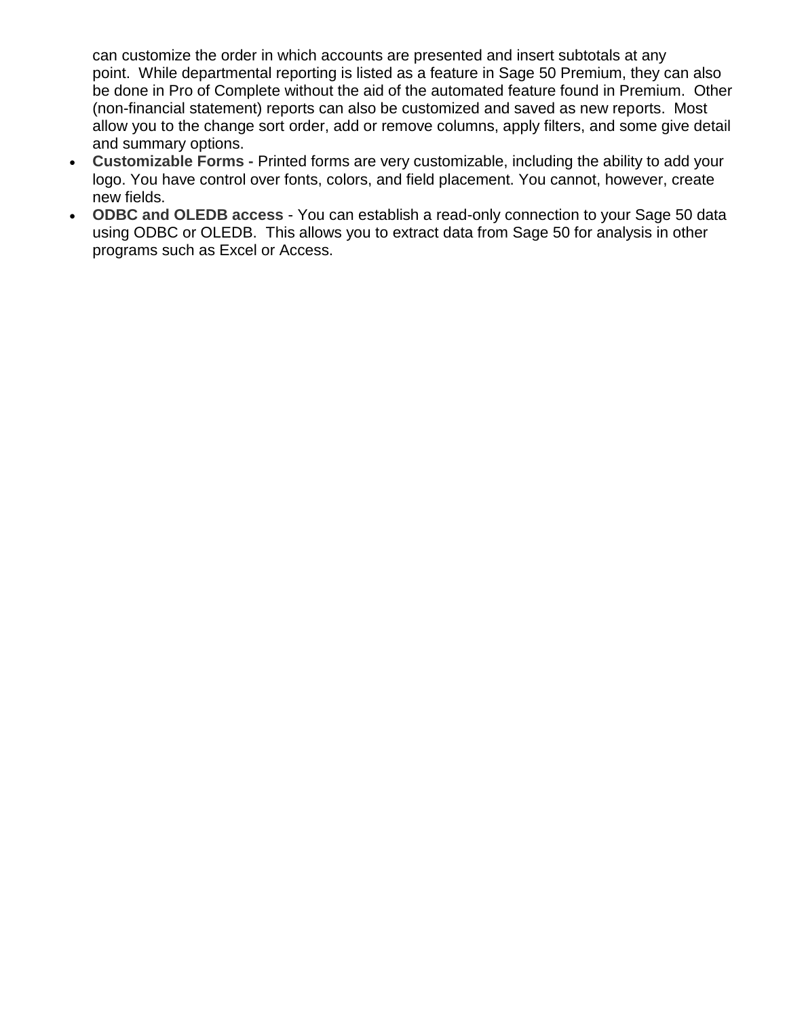can customize the order in which accounts are presented and insert subtotals at any point. While departmental reporting is listed as a feature in Sage 50 Premium, they can also be done in Pro of Complete without the aid of the automated feature found in Premium. Other (non-financial statement) reports can also be customized and saved as new reports. Most allow you to the change sort order, add or remove columns, apply filters, and some give detail and summary options.

- <span id="page-3-0"></span> **Customizable Forms -** Printed forms are very customizable, including the ability to add your logo. You have control over fonts, colors, and field placement. You cannot, however, create new fields.
- <span id="page-3-1"></span> **ODBC and OLEDB access** - You can establish a read-only connection to your Sage 50 data using ODBC or OLEDB. This allows you to extract data from Sage 50 for analysis in other programs such as Excel or Access.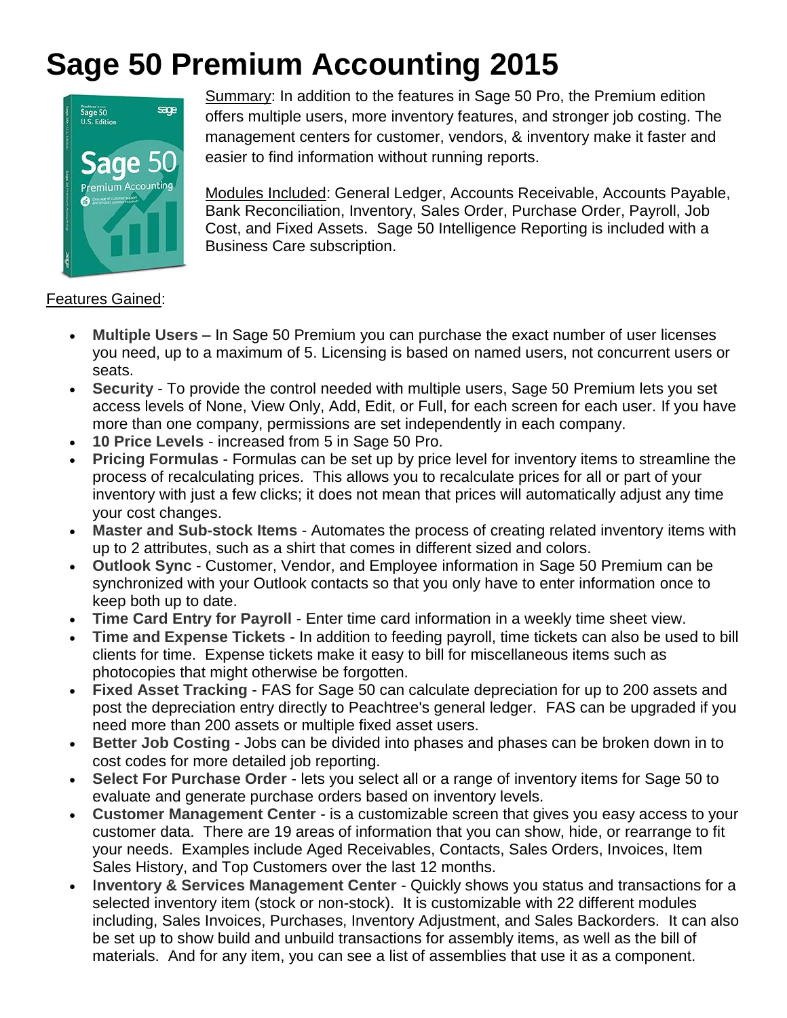### <span id="page-4-0"></span>**Sage 50 Premium Accounting 2015**



Summary: In addition to the features in Sage 50 Pro, the Premium edition offers multiple users, more inventory features, and stronger job costing. The management centers for customer, vendors, & inventory make it faster and easier to find information without running reports.

Modules Included: General Ledger, Accounts Receivable, Accounts Payable, Bank Reconciliation, Inventory, Sales Order, Purchase Order, Payroll, Job Cost, and Fixed Assets. Sage 50 Intelligence Reporting is included with a Business Care subscription.

#### Features Gained:

- <span id="page-4-13"></span> **Multiple Users** – In Sage 50 Premium you can purchase the exact number of user licenses you need, up to a maximum of 5. Licensing is based on named users, not concurrent users or seats.
- <span id="page-4-1"></span> **Security** - To provide the control needed with multiple users, Sage 50 Premium lets you set access levels of None, View Only, Add, Edit, or Full, for each screen for each user. If you have more than one company, permissions are set independently in each company.
- <span id="page-4-3"></span>**10 Price Levels** - increased from 5 in Sage 50 Pro.
- <span id="page-4-4"></span> **Pricing Formulas** - Formulas can be set up by price level for inventory items to streamline the process of recalculating prices. This allows you to recalculate prices for all or part of your inventory with just a few clicks; it does not mean that prices will automatically adjust any time your cost changes.
- <span id="page-4-5"></span> **Master and Sub-stock Items** - Automates the process of creating related inventory items with up to 2 attributes, such as a shirt that comes in different sized and colors.
- <span id="page-4-6"></span> **Outlook Sync** - Customer, Vendor, and Employee information in Sage 50 Premium can be synchronized with your Outlook contacts so that you only have to enter information once to keep both up to date.
- <span id="page-4-7"></span>**Time Card Entry for Payroll** - Enter time card information in a weekly time sheet view.
- <span id="page-4-8"></span> **Time and Expense Tickets** - In addition to feeding payroll, time tickets can also be used to bill clients for time. Expense tickets make it easy to bill for miscellaneous items such as photocopies that might otherwise be forgotten.
- <span id="page-4-9"></span> **Fixed Asset Tracking** - FAS for Sage 50 can calculate depreciation for up to 200 assets and post the depreciation entry directly to Peachtree's general ledger. FAS can be upgraded if you need more than 200 assets or multiple fixed asset users.
- <span id="page-4-2"></span> **Better Job Costing** - Jobs can be divided into phases and phases can be broken down in to cost codes for more detailed job reporting.
- <span id="page-4-10"></span> **Select For Purchase Order** - lets you select all or a range of inventory items for Sage 50 to evaluate and generate purchase orders based on inventory levels.
- <span id="page-4-11"></span> **Customer Management Center** - is a customizable screen that gives you easy access to your customer data. There are 19 areas of information that you can show, hide, or rearrange to fit your needs. Examples include Aged Receivables, Contacts, Sales Orders, Invoices, Item Sales History, and Top Customers over the last 12 months.
- <span id="page-4-12"></span> I**nventory & Services Management Center** - Quickly shows you status and transactions for a selected inventory item (stock or non-stock). It is customizable with 22 different modules including, Sales Invoices, Purchases, Inventory Adjustment, and Sales Backorders. It can also be set up to show build and unbuild transactions for assembly items, as well as the bill of materials. And for any item, you can see a list of assemblies that use it as a component.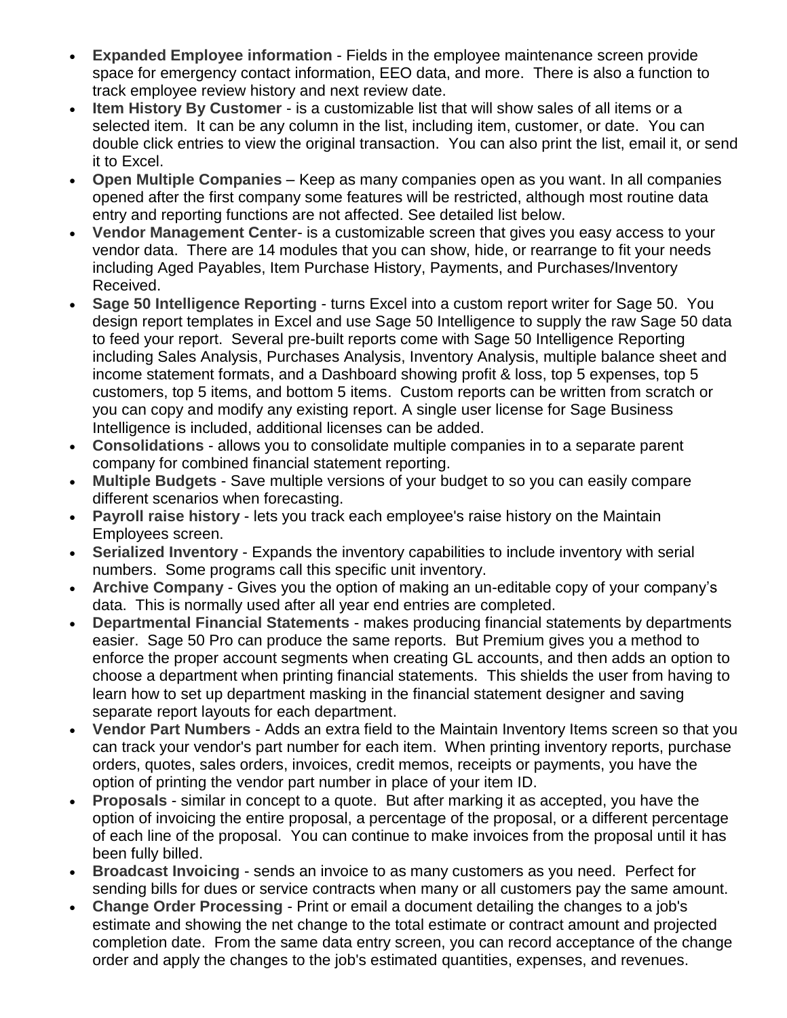- <span id="page-5-0"></span> **Expanded Employee information** - Fields in the employee maintenance screen provide space for emergency contact information, EEO data, and more. There is also a function to track employee review history and next review date.
- <span id="page-5-1"></span> **Item History By Customer** - is a customizable list that will show sales of all items or a selected item. It can be any column in the list, including item, customer, or date. You can double click entries to view the original transaction. You can also print the list, email it, or send it to Excel.
- <span id="page-5-2"></span> **Open Multiple Companies** – Keep as many companies open as you want. In all companies opened after the first company some features will be restricted, although most routine data entry and reporting functions are not affected. See detailed list below.
- <span id="page-5-3"></span> **Vendor Management Center**- is a customizable screen that gives you easy access to your vendor data. There are 14 modules that you can show, hide, or rearrange to fit your needs including Aged Payables, Item Purchase History, Payments, and Purchases/Inventory Received.
- <span id="page-5-4"></span> **Sage 50 Intelligence Reporting** - turns Excel into a custom report writer for Sage 50. You design report templates in Excel and use Sage 50 Intelligence to supply the raw Sage 50 data to feed your report. Several pre-built reports come with Sage 50 Intelligence Reporting including Sales Analysis, Purchases Analysis, Inventory Analysis, multiple balance sheet and income statement formats, and a Dashboard showing profit & loss, top 5 expenses, top 5 customers, top 5 items, and bottom 5 items. Custom reports can be written from scratch or you can copy and modify any existing report. A single user license for Sage Business Intelligence is included, additional licenses can be added.
- **Consolidations** allows you to consolidate multiple companies in to a separate parent company for combined financial statement reporting.
- <span id="page-5-5"></span> **Multiple Budgets** - Save multiple versions of your budget to so you can easily compare different scenarios when forecasting.
- <span id="page-5-6"></span> **Payroll raise history** - lets you track each employee's raise history on the Maintain Employees screen.
- <span id="page-5-7"></span> **Serialized Inventory** - Expands the inventory capabilities to include inventory with serial numbers. Some programs call this specific unit inventory.
- <span id="page-5-8"></span> **Archive Company** - Gives you the option of making an un-editable copy of your company's data. This is normally used after all year end entries are completed.
- <span id="page-5-9"></span> **Departmental Financial Statements** - makes producing financial statements by departments easier. Sage 50 Pro can produce the same reports. But Premium gives you a method to enforce the proper account segments when creating GL accounts, and then adds an option to choose a department when printing financial statements. This shields the user from having to learn how to set up department masking in the financial statement designer and saving separate report layouts for each department.
- <span id="page-5-10"></span> **Vendor Part Numbers** - Adds an extra field to the Maintain Inventory Items screen so that you can track your vendor's part number for each item. When printing inventory reports, purchase orders, quotes, sales orders, invoices, credit memos, receipts or payments, you have the option of printing the vendor part number in place of your item ID.
- <span id="page-5-11"></span> **Proposals** - similar in concept to a quote. But after marking it as accepted, you have the option of invoicing the entire proposal, a percentage of the proposal, or a different percentage of each line of the proposal. You can continue to make invoices from the proposal until it has been fully billed.
- <span id="page-5-12"></span> **Broadcast Invoicing** - sends an invoice to as many customers as you need. Perfect for sending bills for dues or service contracts when many or all customers pay the same amount.
- <span id="page-5-13"></span> **Change Order Processing** - Print or email a document detailing the changes to a job's estimate and showing the net change to the total estimate or contract amount and projected completion date. From the same data entry screen, you can record acceptance of the change order and apply the changes to the job's estimated quantities, expenses, and revenues.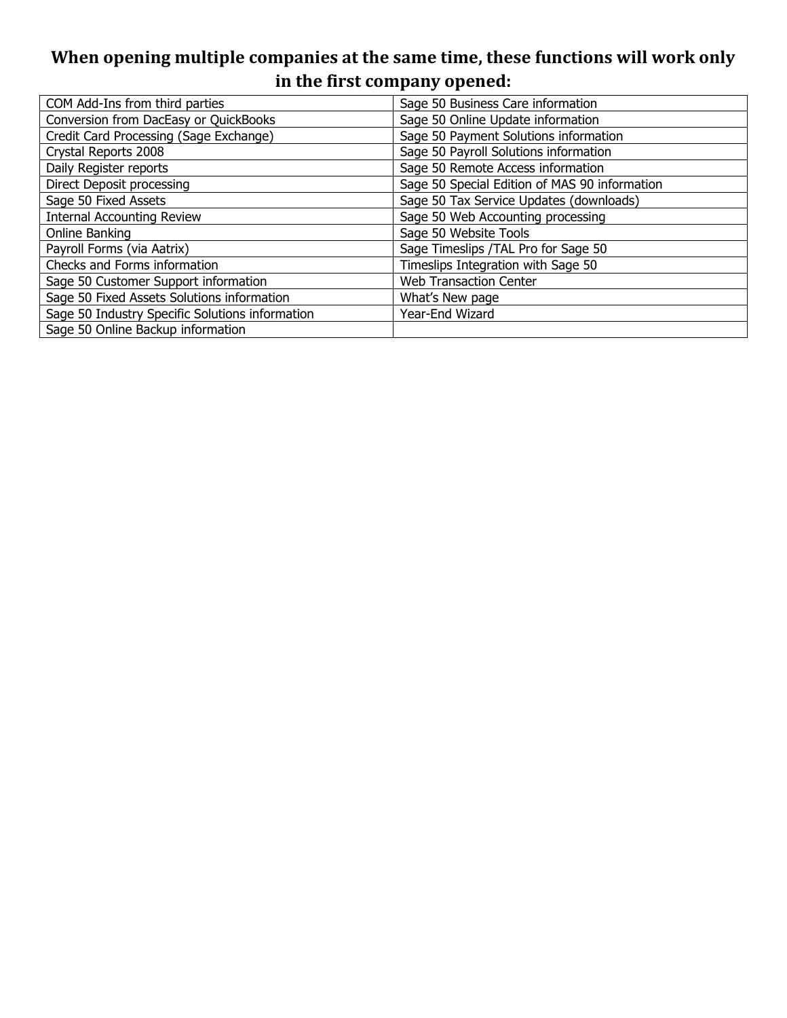#### **When opening multiple companies at the same time, these functions will work only in the first company opened:**

| COM Add-Ins from third parties                  | Sage 50 Business Care information             |
|-------------------------------------------------|-----------------------------------------------|
| Conversion from DacEasy or QuickBooks           | Sage 50 Online Update information             |
| Credit Card Processing (Sage Exchange)          | Sage 50 Payment Solutions information         |
| Crystal Reports 2008                            | Sage 50 Payroll Solutions information         |
| Daily Register reports                          | Sage 50 Remote Access information             |
| Direct Deposit processing                       | Sage 50 Special Edition of MAS 90 information |
| Sage 50 Fixed Assets                            | Sage 50 Tax Service Updates (downloads)       |
| <b>Internal Accounting Review</b>               | Sage 50 Web Accounting processing             |
| Online Banking                                  | Sage 50 Website Tools                         |
| Payroll Forms (via Aatrix)                      | Sage Timeslips / TAL Pro for Sage 50          |
| Checks and Forms information                    | Timeslips Integration with Sage 50            |
| Sage 50 Customer Support information            | <b>Web Transaction Center</b>                 |
| Sage 50 Fixed Assets Solutions information      | What's New page                               |
| Sage 50 Industry Specific Solutions information | Year-End Wizard                               |
| Sage 50 Online Backup information               |                                               |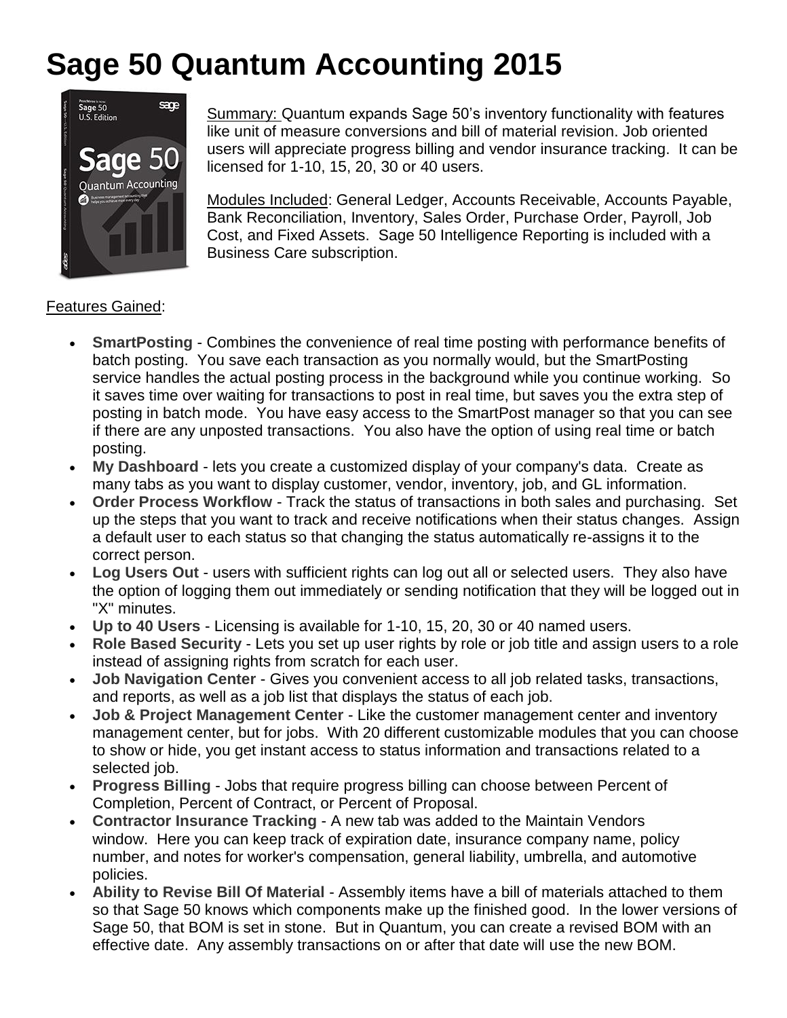### <span id="page-7-0"></span>**Sage 50 Quantum Accounting 2015**



Summary: Quantum expands Sage 50's inventory functionality with features like unit of measure conversions and bill of material revision. Job oriented users will appreciate progress billing and vendor insurance tracking. It can be licensed for 1-10, 15, 20, 30 or 40 users.

Modules Included: General Ledger, Accounts Receivable, Accounts Payable, Bank Reconciliation, Inventory, Sales Order, Purchase Order, Payroll, Job Cost, and Fixed Assets. Sage 50 Intelligence Reporting is included with a Business Care subscription.

#### Features Gained:

- <span id="page-7-5"></span> **SmartPosting** - Combines the convenience of real time posting with performance benefits of batch posting. You save each transaction as you normally would, but the SmartPosting service handles the actual posting process in the background while you continue working. So it saves time over waiting for transactions to post in real time, but saves you the extra step of posting in batch mode. You have easy access to the SmartPost manager so that you can see if there are any unposted transactions. You also have the option of using real time or batch posting.
- <span id="page-7-6"></span> **My Dashboard** - lets you create a customized display of your company's data. Create as many tabs as you want to display customer, vendor, inventory, job, and GL information.
- <span id="page-7-7"></span> **Order Process Workflow** - Track the status of transactions in both sales and purchasing. Set up the steps that you want to track and receive notifications when their status changes. Assign a default user to each status so that changing the status automatically re-assigns it to the correct person.
- <span id="page-7-8"></span> **Log Users Out** - users with sufficient rights can log out all or selected users. They also have the option of logging them out immediately or sending notification that they will be logged out in "X" minutes.
- **Up to 40 Users** Licensing is available for 1-10, 15, 20, 30 or 40 named users.
- <span id="page-7-1"></span> **Role Based Security** - Lets you set up user rights by role or job title and assign users to a role instead of assigning rights from scratch for each user.
- <span id="page-7-9"></span> **Job Navigation Center** - Gives you convenient access to all job related tasks, transactions, and reports, as well as a job list that displays the status of each job.
- <span id="page-7-10"></span> **Job & Project Management Center** - Like the customer management center and inventory management center, but for jobs. With 20 different customizable modules that you can choose to show or hide, you get instant access to status information and transactions related to a selected job.
- <span id="page-7-2"></span> **Progress Billing** - Jobs that require progress billing can choose between Percent of Completion, Percent of Contract, or Percent of Proposal.
- <span id="page-7-3"></span> **Contractor Insurance Tracking** - A new tab was added to the Maintain Vendors window. Here you can keep track of expiration date, insurance company name, policy number, and notes for worker's compensation, general liability, umbrella, and automotive policies.
- <span id="page-7-4"></span> **Ability to Revise Bill Of Material** - Assembly items have a bill of materials attached to them so that Sage 50 knows which components make up the finished good. In the lower versions of Sage 50, that BOM is set in stone. But in Quantum, you can create a revised BOM with an effective date. Any assembly transactions on or after that date will use the new BOM.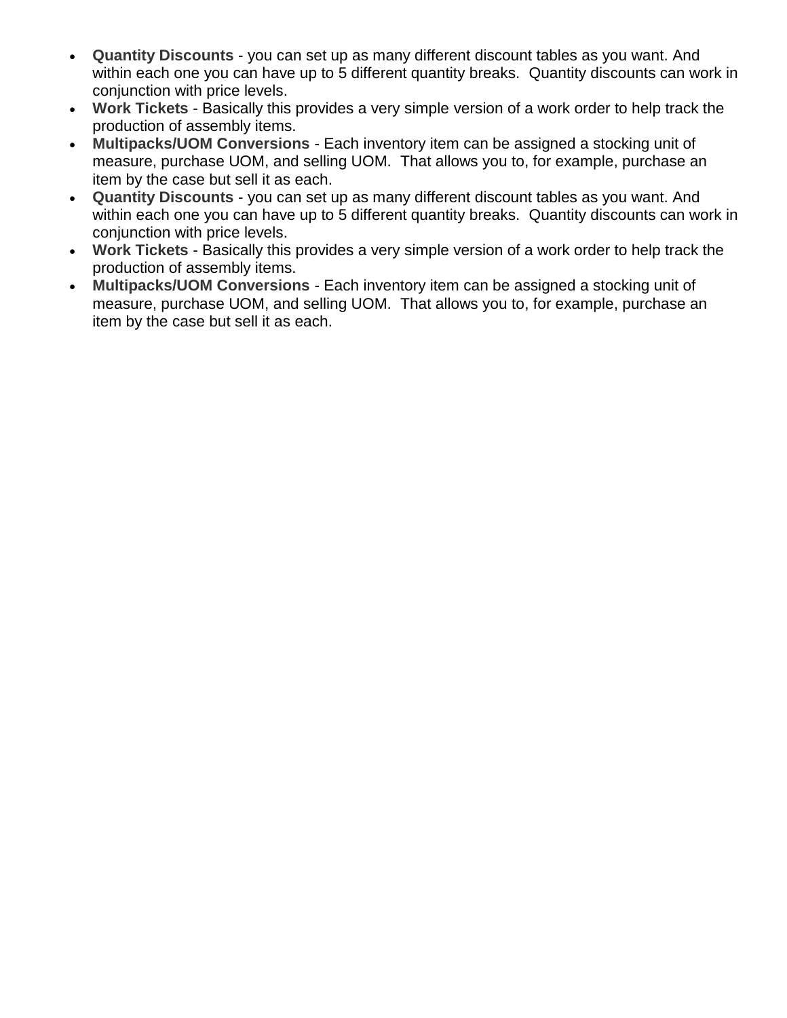- **Quantity Discounts** you can set up as many different discount tables as you want. And within each one you can have up to 5 different quantity breaks. Quantity discounts can work in conjunction with price levels.
- **Work Tickets** Basically this provides a very simple version of a work order to help track the production of assembly items.
- **Multipacks/UOM Conversions** Each inventory item can be assigned a stocking unit of measure, purchase UOM, and selling UOM. That allows you to, for example, purchase an item by the case but sell it as each.
- <span id="page-8-0"></span> **Quantity Discounts** - you can set up as many different discount tables as you want. And within each one you can have up to 5 different quantity breaks. Quantity discounts can work in conjunction with price levels.
- <span id="page-8-1"></span> **Work Tickets** - Basically this provides a very simple version of a work order to help track the production of assembly items.
- <span id="page-8-2"></span> **Multipacks/UOM Conversions** - Each inventory item can be assigned a stocking unit of measure, purchase UOM, and selling UOM. That allows you to, for example, purchase an item by the case but sell it as each.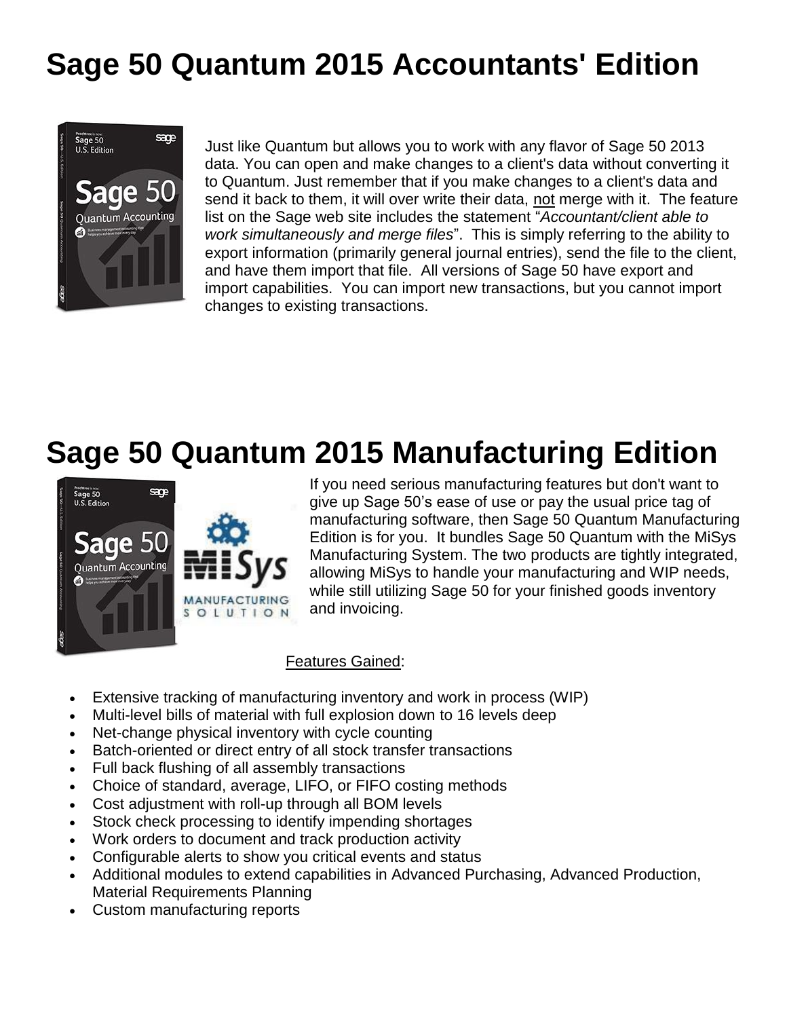### <span id="page-9-0"></span>**Sage 50 Quantum 2015 Accountants' Edition**



Just like Quantum but allows you to work with any flavor of Sage 50 2013 data. You can open and make changes to a client's data without converting it to Quantum. Just remember that if you make changes to a client's data and send it back to them, it will over write their data, not merge with it. The feature list on the Sage web site includes the statement "*Accountant/client able to work simultaneously and merge files*". This is simply referring to the ability to export information (primarily general journal entries), send the file to the client, and have them import that file. All versions of Sage 50 have export and import capabilities. You can import new transactions, but you cannot import changes to existing transactions.

#### **Sage 50 Quantum 2015 Manufacturing Edition**



If you need serious manufacturing features but don't want to give up Sage 50's ease of use or pay the usual price tag of manufacturing software, then Sage 50 Quantum Manufacturing Edition is for you. It bundles Sage 50 Quantum with the MiSys Manufacturing System. The two products are tightly integrated, allowing MiSys to handle your manufacturing and WIP needs, while still utilizing Sage 50 for your finished goods inventory and invoicing.

#### Features Gained:

- <span id="page-9-1"></span>Extensive tracking of manufacturing inventory and work in process (WIP)
- Multi-level bills of material with full explosion down to 16 levels deep
- Net-change physical inventory with cycle counting
- Batch-oriented or direct entry of all stock transfer transactions
- Full back flushing of all assembly transactions
- Choice of standard, average, LIFO, or FIFO costing methods
- Cost adjustment with roll-up through all BOM levels
- Stock check processing to identify impending shortages
- Work orders to document and track production activity
- Configurable alerts to show you critical events and status
- Additional modules to extend capabilities in Advanced Purchasing, Advanced Production, Material Requirements Planning
- Custom manufacturing reports